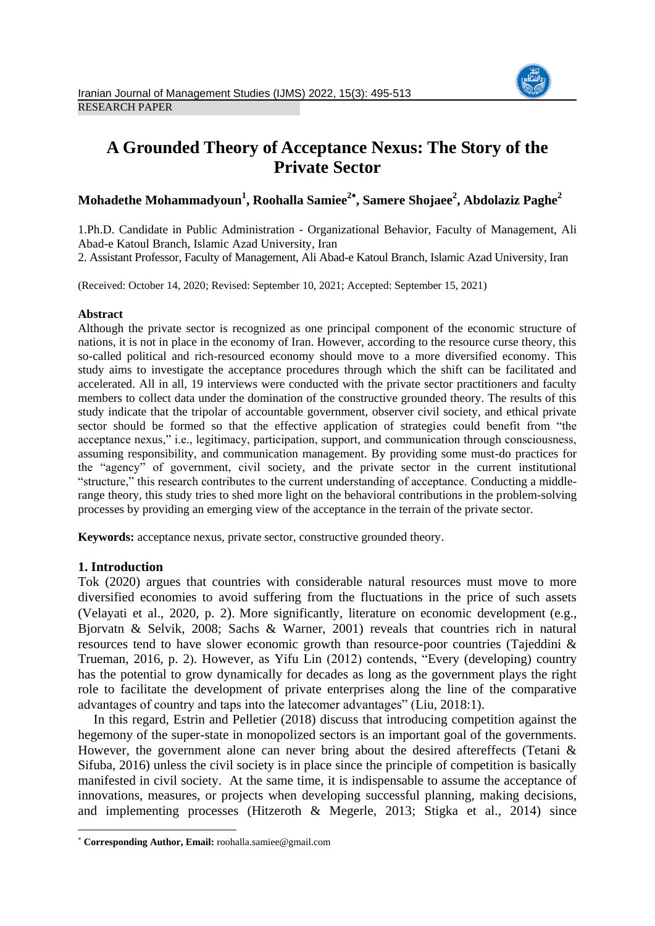

# **A Grounded Theory of Acceptance Nexus: The Story of the Private Sector**

# **Mohadethe Mohammadyoun<sup>1</sup> , Roohalla Samiee<sup>2</sup> , Samere Shojaee<sup>2</sup> , Abdolaziz Paghe<sup>2</sup>**

1.Ph.D. Candidate in Public Administration - Organizational Behavior, Faculty of Management, Ali Abad-e Katoul Branch, Islamic Azad University, Iran

2. Assistant Professor, Faculty of Management, Ali Abad-e Katoul Branch, Islamic Azad University, Iran

(Received: October 14, 2020; Revised: September 10, 2021; Accepted: September 15, 2021)

#### **Abstract**

Although the private sector is recognized as one principal component of the economic structure of nations, it is not in place in the economy of Iran. However, according to the resource curse theory, this so-called political and rich-resourced economy should move to a more diversified economy. This study aims to investigate the acceptance procedures through which the shift can be facilitated and accelerated. All in all, 19 interviews were conducted with the private sector practitioners and faculty members to collect data under the domination of the constructive grounded theory. The results of this study indicate that the tripolar of accountable government, observer civil society, and ethical private sector should be formed so that the effective application of strategies could benefit from "the acceptance nexus," i.e., legitimacy, participation, support, and communication through consciousness, assuming responsibility, and communication management. By providing some must-do practices for the "agency" of government, civil society, and the private sector in the current institutional "structure," this research contributes to the current understanding of acceptance. Conducting a middlerange theory, this study tries to shed more light on the behavioral contributions in the problem-solving processes by providing an emerging view of the acceptance in the terrain of the private sector.

**Keywords:** acceptance nexus, private sector, constructive grounded theory.

# **1. Introduction**

1

Tok (2020) argues that countries with considerable natural resources must move to more diversified economies to avoid suffering from the fluctuations in the price of such assets (Velayati et al., 2020, p. 2). More significantly, literature on economic development (e.g., Bjorvatn & Selvik, 2008; Sachs & Warner, 2001) reveals that countries rich in natural resources tend to have slower economic growth than resource-poor countries (Tajeddini & Trueman, 2016, p. 2). However, as Yifu Lin (2012) contends, "Every (developing) country has the potential to grow dynamically for decades as long as the government plays the right role to facilitate the development of private enterprises along the line of the comparative advantages of country and taps into the latecomer advantages" (Liu, 2018:1).

In this regard, Estrin and Pelletier (2018) discuss that introducing competition against the hegemony of the super-state in monopolized sectors is an important goal of the governments. However, the government alone can never bring about the desired aftereffects (Tetani & Sifuba, 2016) unless the civil society is in place since the principle of competition is basically manifested in civil society. At the same time, it is indispensable to assume the acceptance of innovations, measures, or projects when developing successful planning, making decisions, and implementing processes (Hitzeroth & Megerle, 2013; Stigka et al., 2014) since

**Corresponding Author, Email:** roohalla.samiee@gmail.com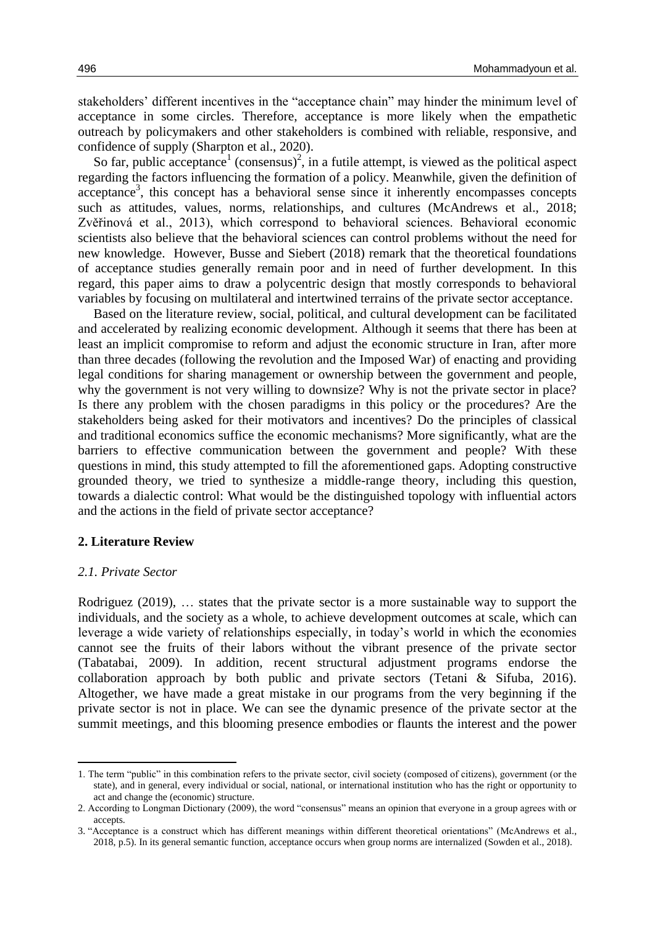stakeholders' different incentives in the "acceptance chain" may hinder the minimum level of acceptance in some circles. Therefore, acceptance is more likely when the empathetic outreach by policymakers and other stakeholders is combined with reliable, responsive, and confidence of supply (Sharpton et al., 2020).

So far, public acceptance<sup>1</sup> (consensus)<sup>2</sup>, in a futile attempt, is viewed as the political aspect regarding the factors influencing the formation of a policy. Meanwhile, given the definition of acceptance<sup>3</sup>, this concept has a behavioral sense since it inherently encompasses concepts such as attitudes, values, norms, relationships, and cultures (McAndrews et al., 2018; Zvěřinová et al., 2013), which correspond to behavioral sciences. Behavioral economic scientists also believe that the behavioral sciences can control problems without the need for new knowledge. However, Busse and Siebert (2018) remark that the theoretical foundations of acceptance studies generally remain poor and in need of further development. In this regard, this paper aims to draw a polycentric design that mostly corresponds to behavioral variables by focusing on multilateral and intertwined terrains of the private sector acceptance.

Based on the literature review, social, political, and cultural development can be facilitated and accelerated by realizing economic development. Although it seems that there has been at least an implicit compromise to reform and adjust the economic structure in Iran, after more than three decades (following the revolution and the Imposed War) of enacting and providing legal conditions for sharing management or ownership between the government and people, why the government is not very willing to downsize? Why is not the private sector in place? Is there any problem with the chosen paradigms in this policy or the procedures? Are the stakeholders being asked for their motivators and incentives? Do the principles of classical and traditional economics suffice the economic mechanisms? More significantly, what are the barriers to effective communication between the government and people? With these questions in mind, this study attempted to fill the aforementioned gaps. Adopting constructive grounded theory, we tried to synthesize a middle-range theory, including this question, towards a dialectic control: What would be the distinguished topology with influential actors and the actions in the field of private sector acceptance?

### **2. Literature Review**

#### *2.1. Private Sector*

1

Rodriguez (2019), … states that the private sector is a more sustainable way to support the individuals, and the society as a whole, to achieve development outcomes at scale, which can leverage a wide variety of relationships especially, in today's world in which the economies cannot see the fruits of their labors without the vibrant presence of the private sector (Tabatabai, 2009). In addition, recent structural adjustment programs endorse the collaboration approach by both public and private sectors (Tetani & Sifuba, 2016). Altogether, we have made a great mistake in our programs from the very beginning if the private sector is not in place. We can see the dynamic presence of the private sector at the summit meetings, and this blooming presence embodies or flaunts the interest and the power

<sup>1.</sup> The term "public" in this combination refers to the private sector, civil society (composed of citizens), government (or the state), and in general, every individual or social, national, or international institution who has the right or opportunity to act and change the (economic) structure.

<sup>2.</sup> According to Longman Dictionary (2009), the word "consensus" means an opinion that everyone in a group agrees with or accepts.

<sup>3.</sup> "Acceptance is a construct which has different meanings within different theoretical orientations" (McAndrews et al., 2018, p.5). In its general semantic function, acceptance occurs when group norms are internalized (Sowden et al., 2018).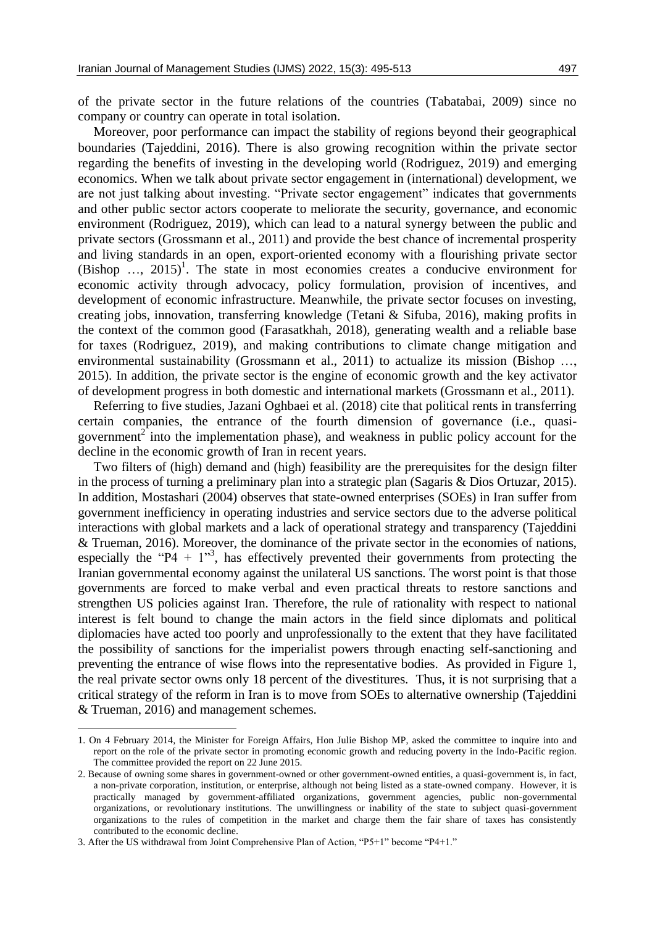of the private sector in the future relations of the countries (Tabatabai, 2009) since no company or country can operate in total isolation.

Moreover, poor performance can impact the stability of regions beyond their geographical boundaries (Tajeddini, 2016). There is also growing recognition within the private sector regarding the benefits of investing in the developing world (Rodriguez, 2019) and emerging economics. When we talk about private sector engagement in (international) development, we are not just talking about investing. "Private sector engagement" indicates that governments and other public sector actors cooperate to meliorate the security, governance, and economic environment (Rodriguez, 2019), which can lead to a natural synergy between the public and private sectors (Grossmann et al., 2011) and provide the best chance of incremental prosperity and living standards in an open, export-oriented economy with a flourishing private sector  $(Bishop \dots, 2015)^1$ . The state in most economies creates a conducive environment for economic activity through advocacy, policy formulation, provision of incentives, and development of economic infrastructure. Meanwhile, the private sector focuses on investing, creating jobs, innovation, transferring knowledge (Tetani & Sifuba, 2016), making profits in the context of the common good (Farasatkhah, 2018), generating wealth and a reliable base for taxes (Rodriguez, 2019), and making contributions to climate change mitigation and environmental sustainability (Grossmann et al., 2011) to actualize its mission (Bishop …, 2015). In addition, the private sector is the engine of economic growth and the key activator of development progress in both domestic and international markets (Grossmann et al., 2011).

Referring to five studies, Jazani Oghbaei et al. (2018) cite that political rents in transferring certain companies, the entrance of the fourth dimension of governance (i.e., quasigovernment<sup>2</sup> into the implementation phase), and weakness in public policy account for the decline in the economic growth of Iran in recent years.

Two filters of (high) demand and (high) feasibility are the prerequisites for the design filter in the process of turning a preliminary plan into a strategic plan (Sagaris & Dios Ortuzar, 2015). In addition, Mostashari (2004) observes that state-owned enterprises (SOEs) in Iran suffer from government inefficiency in operating industries and service sectors due to the adverse political interactions with global markets and a lack of operational strategy and transparency (Tajeddini & Trueman, 2016). Moreover, the dominance of the private sector in the economies of nations, especially the "P4 +  $1$ "<sup>3</sup>, has effectively prevented their governments from protecting the Iranian governmental economy against the unilateral US sanctions. The worst point is that those governments are forced to make verbal and even practical threats to restore sanctions and strengthen US policies against Iran. Therefore, the rule of rationality with respect to national interest is felt bound to change the main actors in the field since diplomats and political diplomacies have acted too poorly and unprofessionally to the extent that they have facilitated the possibility of sanctions for the imperialist powers through enacting self-sanctioning and preventing the entrance of wise flows into the representative bodies. As provided in Figure 1, the real private sector owns only 18 percent of the divestitures. Thus, it is not surprising that a critical strategy of the reform in Iran is to move from SOEs to alternative ownership (Tajeddini & Trueman, 2016) and management schemes.

<sup>1.</sup> On 4 February 2014, the Minister for Foreign Affairs, Hon Julie Bishop MP, asked the committee to inquire into and report on the role of the private sector in promoting economic growth and reducing poverty in the Indo-Pacific region. The committee provided the report on 22 June 2015.

<sup>2.</sup> Because of owning some shares in government-owned or other government-owned entities, a quasi-government is, in fact, a non-private corporation, institution, or enterprise, although not being listed as a state-owned company. However, it is practically managed by government-affiliated organizations, government agencies, public non-governmental organizations, or revolutionary institutions. The unwillingness or inability of the state to subject quasi-government organizations to the rules of competition in the market and charge them the fair share of taxes has consistently contributed to the economic decline.

<sup>3.</sup> After the US withdrawal from Joint Comprehensive Plan of Action, "P5+1" become "P4+1."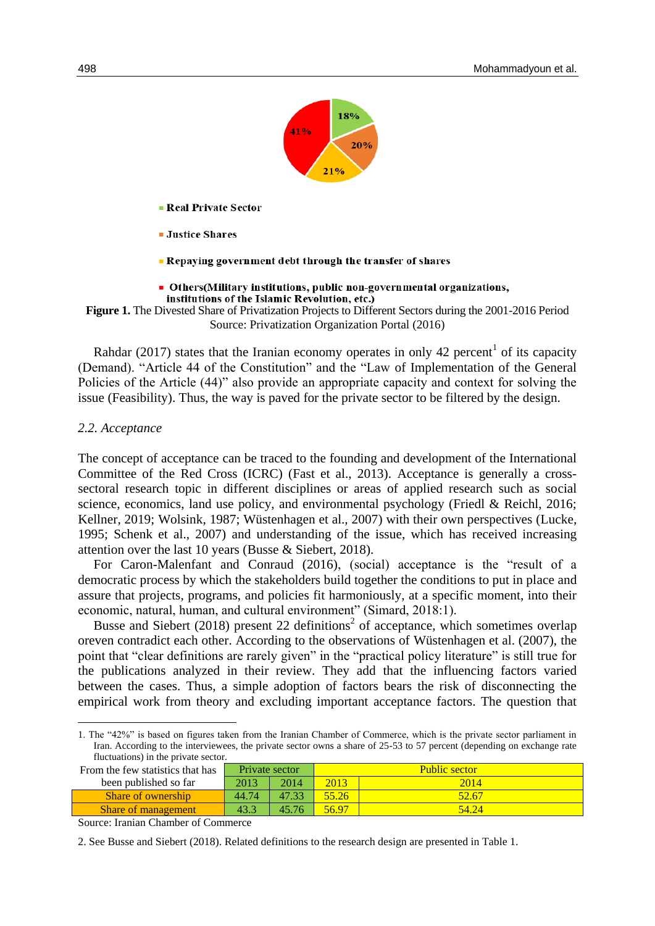

- **Real Private Sector**
- **Justice Shares**
- Repaving government debt through the transfer of shares
- Others (Military institutions, public non-governmental organizations, institutions of the Islamic Revolution, etc.)
- **Figure 1.** The Divested Share of Privatization Projects to Different Sectors during the 2001-2016 Period Source: Privatization Organization Portal (2016)

Rahdar (2017) states that the Iranian economy operates in only 42 percent<sup>1</sup> of its capacity (Demand). "Article 44 of the Constitution" and the "Law of Implementation of the General Policies of the Article (44)" also provide an appropriate capacity and context for solving the issue (Feasibility). Thus, the way is paved for the private sector to be filtered by the design.

#### *2.2. Acceptance*

**.** 

The concept of acceptance can be traced to the founding and development of the International Committee of the Red Cross (ICRC) (Fast et al., 2013). Acceptance is generally a crosssectoral research topic in different disciplines or areas of applied research such as social science, economics, land use policy, and environmental psychology (Friedl & Reichl, 2016; Kellner, 2019; Wolsink, 1987; Wüstenhagen et al., 2007) with their own perspectives (Lucke, 1995; Schenk et al., 2007) and understanding of the issue, which has received increasing attention over the last 10 years (Busse & Siebert, 2018).

For Caron-Malenfant and Conraud (2016), (social) acceptance is the "result of a democratic process by which the stakeholders build together the conditions to put in place and assure that projects, programs, and policies fit harmoniously, at a specific moment, into their economic, natural, human, and cultural environment" (Simard, 2018:1).

Busse and Siebert  $(2018)$  present 22 definitions<sup>2</sup> of acceptance, which sometimes overlap oreven contradict each other. According to the observations of Wüstenhagen et al. (2007), the point that "clear definitions are rarely given" in the "practical policy literature" is still true for the publications analyzed in their review. They add that the influencing factors varied between the cases. Thus, a simple adoption of factors bears the risk of disconnecting the empirical work from theory and excluding important acceptance factors. The question that

1. The "42%" is based on figures taken from the Iranian Chamber of Commerce, which is the private sector parliament in Iran. According to the interviewees, the private sector owns a share of 25-53 to 57 percent (depending on exchange rate fluctuations) in the private sector.

| From the few statistics that has |       | Private sector |       | <b>Public sector</b> |
|----------------------------------|-------|----------------|-------|----------------------|
| been published so far            | 2013  | 2014           | 2013  | 2014                 |
| Share of ownership               | 44.74 | 4733           | 55.26 | 52.67                |
| <b>Share of management</b>       | 43.3  | 45.76          | 56.97 | 54 Z4                |

Source: Iranian Chamber of Commerce

2. See Busse and Siebert (2018). Related definitions to the research design are presented in Table 1.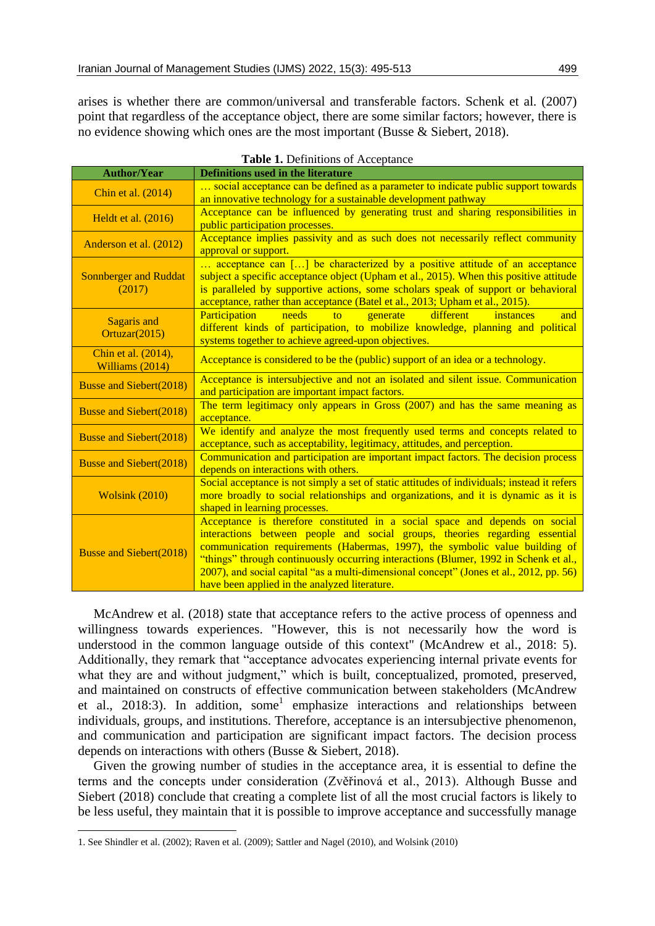arises is whether there are common/universal and transferable factors. Schenk et al. (2007) point that regardless of the acceptance object, there are some similar factors; however, there is no evidence showing which ones are the most important (Busse & Siebert, 2018).

| <b>Author/Year</b>                     | Definitions used in the literature                                                                                                                                                                                                                                                                                                                                                                                                                                            |
|----------------------------------------|-------------------------------------------------------------------------------------------------------------------------------------------------------------------------------------------------------------------------------------------------------------------------------------------------------------------------------------------------------------------------------------------------------------------------------------------------------------------------------|
| Chin et al. (2014)                     | social acceptance can be defined as a parameter to indicate public support towards                                                                                                                                                                                                                                                                                                                                                                                            |
|                                        | an innovative technology for a sustainable development pathway                                                                                                                                                                                                                                                                                                                                                                                                                |
| Heldt et al. (2016)                    | Acceptance can be influenced by generating trust and sharing responsibilities in                                                                                                                                                                                                                                                                                                                                                                                              |
|                                        | public participation processes.                                                                                                                                                                                                                                                                                                                                                                                                                                               |
| Anderson et al. (2012)                 | Acceptance implies passivity and as such does not necessarily reflect community<br>approval or support.                                                                                                                                                                                                                                                                                                                                                                       |
| <b>Sonnberger and Ruddat</b><br>(2017) | acceptance can [] be characterized by a positive attitude of an acceptance<br>subject a specific acceptance object (Upham et al., 2015). When this positive attitude<br>is paralleled by supportive actions, some scholars speak of support or behavioral<br>acceptance, rather than acceptance (Batel et al., 2013; Upham et al., 2015).                                                                                                                                     |
| <b>Sagaris and</b><br>Ortuzar(2015)    | different<br>Participation<br>needs<br>generate<br>to<br>instances<br>and<br>different kinds of participation, to mobilize knowledge, planning and political<br>systems together to achieve agreed-upon objectives.                                                                                                                                                                                                                                                           |
| Chin et al. (2014),<br>Williams (2014) | Acceptance is considered to be the (public) support of an idea or a technology.                                                                                                                                                                                                                                                                                                                                                                                               |
| <b>Busse and Siebert(2018)</b>         | Acceptance is intersubjective and not an isolated and silent issue. Communication<br>and participation are important impact factors.                                                                                                                                                                                                                                                                                                                                          |
| <b>Busse and Siebert(2018)</b>         | The term legitimacy only appears in Gross (2007) and has the same meaning as<br>acceptance.                                                                                                                                                                                                                                                                                                                                                                                   |
| <b>Busse and Siebert(2018)</b>         | We identify and analyze the most frequently used terms and concepts related to<br>acceptance, such as acceptability, legitimacy, attitudes, and perception.                                                                                                                                                                                                                                                                                                                   |
| <b>Busse and Siebert(2018)</b>         | Communication and participation are important impact factors. The decision process<br>depends on interactions with others.                                                                                                                                                                                                                                                                                                                                                    |
| <b>Wolsink (2010)</b>                  | Social acceptance is not simply a set of static attitudes of individuals; instead it refers<br>more broadly to social relationships and organizations, and it is dynamic as it is<br>shaped in learning processes.                                                                                                                                                                                                                                                            |
| <b>Busse and Siebert(2018)</b>         | Acceptance is therefore constituted in a social space and depends on social<br>interactions between people and social groups, theories regarding essential<br>communication requirements (Habermas, 1997), the symbolic value building of<br>"things" through continuously occurring interactions (Blumer, 1992 in Schenk et al.,<br>2007), and social capital "as a multi-dimensional concept" (Jones et al., 2012, pp. 56)<br>have been applied in the analyzed literature. |

**Table 1.** Definitions of Acceptance

McAndrew et al. (2018) state that acceptance refers to the active process of openness and willingness towards experiences. "However, this is not necessarily how the word is understood in the common language outside of this context" (McAndrew et al., 2018: 5). Additionally, they remark that "acceptance advocates experiencing internal private events for what they are and without judgment," which is built, conceptualized, promoted, preserved, and maintained on constructs of effective communication between stakeholders (McAndrew et al., 2018:3). In addition, some<sup>1</sup> emphasize interactions and relationships between individuals, groups, and institutions. Therefore, acceptance is an intersubjective phenomenon, and communication and participation are significant impact factors. The decision process depends on interactions with others (Busse & Siebert, 2018).

Given the growing number of studies in the acceptance area, it is essential to define the terms and the concepts under consideration (Zvěřinová et al., 2013). Although Busse and Siebert (2018) conclude that creating a complete list of all the most crucial factors is likely to be less useful, they maintain that it is possible to improve acceptance and successfully manage

<sup>1.</sup> See Shindler et al. (2002); Raven et al. (2009); Sattler and Nagel (2010), and Wolsink (2010)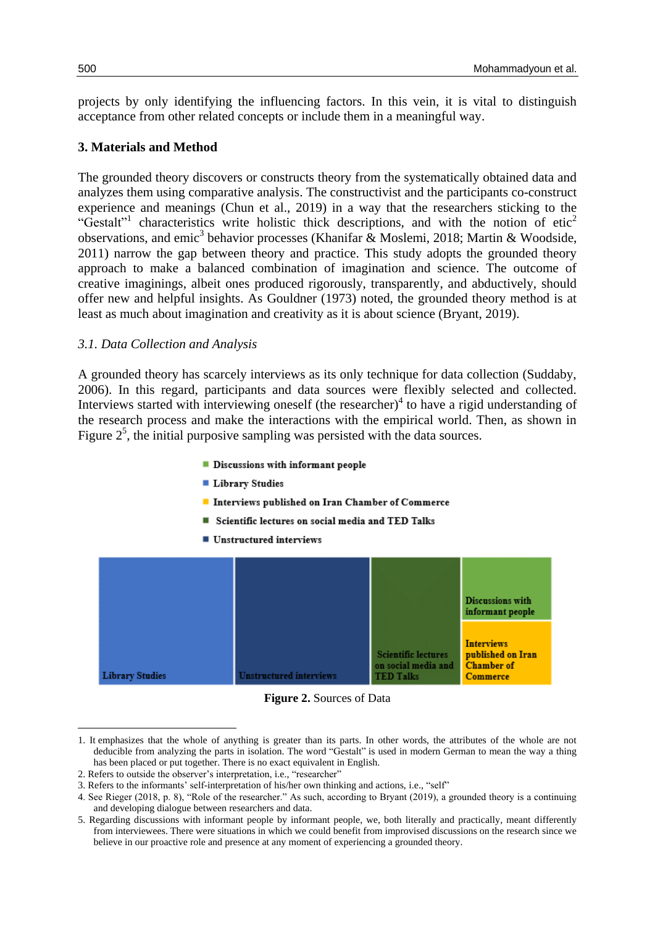projects by only identifying the influencing factors. In this vein, it is vital to distinguish acceptance from other related concepts or include them in a meaningful way.

# **3. Materials and Method**

The grounded theory discovers or constructs theory from the systematically obtained data and analyzes them using comparative analysis. The constructivist and the participants co-construct experience and meanings (Chun et al., 2019) in a way that the researchers sticking to the "Gestalt"<sup>1</sup> characteristics write holistic thick descriptions, and with the notion of etic<sup>2</sup> observations, and emic<sup>3</sup> behavior processes (Khanifar & Moslemi, 2018; Martin & Woodside, 2011) narrow the gap between theory and practice. This study adopts the grounded theory approach to make a balanced combination of imagination and science. The outcome of creative imaginings, albeit ones produced rigorously, transparently, and abductively, should offer new and helpful insights. As Gouldner (1973) noted, the grounded theory method is at least as much about imagination and creativity as it is about science (Bryant, 2019).

# *3.1. Data Collection and Analysis*

A grounded theory has scarcely interviews as its only technique for data collection (Suddaby, 2006). In this regard, participants and data sources were flexibly selected and collected. Interviews started with interviewing oneself (the researcher) $4$  to have a rigid understanding of the research process and make the interactions with the empirical world. Then, as shown in Figure  $2<sup>5</sup>$ , the initial purposive sampling was persisted with the data sources.

- Discussions with informant people
- **Library Studies**
- Interviews published on Iran Chamber of Commerce
- Scientific lectures on social media and TED Talks
- $\blacksquare$  Unstructured interviews



**Figure 2.** Sources of Data

<sup>1.</sup> It emphasizes that the whole of anything is greater than its parts. In other words, the attributes of the whole are not deducible from analyzing the parts in isolation. The word "Gestalt" is used in modern German to mean the way a thing has been placed or put together. There is no exact equivalent in English.

<sup>2.</sup> Refers to outside the observer's interpretation, i.e., "researcher"

<sup>3.</sup> Refers to the informants' self-interpretation of his/her own thinking and actions, i.e., "self"

<sup>4.</sup> See Rieger (2018, p. 8), "Role of the researcher." As such, according to Bryant (2019), a grounded theory is a continuing and developing dialogue between researchers and data.

<sup>5.</sup> Regarding discussions with informant people by informant people, we, both literally and practically, meant differently from interviewees. There were situations in which we could benefit from improvised discussions on the research since we believe in our proactive role and presence at any moment of experiencing a grounded theory.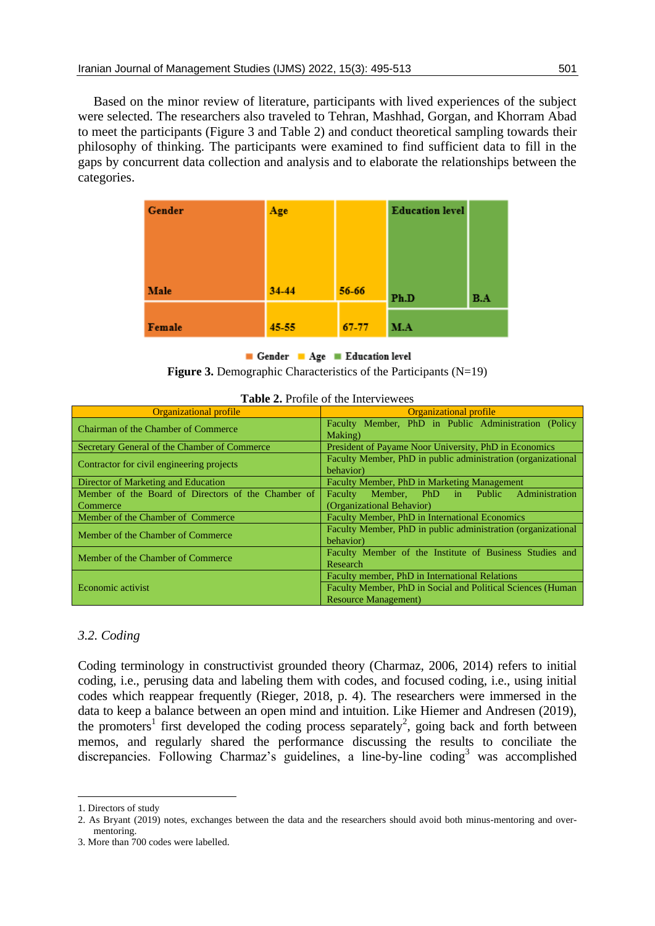Based on the minor review of literature, participants with lived experiences of the subject were selected. The researchers also traveled to Tehran, Mashhad, Gorgan, and Khorram Abad to meet the participants (Figure 3 and Table 2) and conduct theoretical sampling towards their philosophy of thinking. The participants were examined to find sufficient data to fill in the gaps by concurrent data collection and analysis and to elaborate the relationships between the categories.

| Gender | Age   |       | <b>Education level</b> |     |  |  |  |  |
|--------|-------|-------|------------------------|-----|--|--|--|--|
|        |       |       |                        |     |  |  |  |  |
|        |       |       |                        |     |  |  |  |  |
| Male   | 34-44 | 56-66 | Ph.D                   | B.A |  |  |  |  |
| Female | 45-55 | 67-77 | M.A                    |     |  |  |  |  |

Gender Age Education level

**Figure 3.** Demographic Characteristics of the Participants (N=19)

| <b>Organizational profile</b>                      | <b>Organizational profile</b>                                |  |  |  |  |  |  |  |  |  |  |
|----------------------------------------------------|--------------------------------------------------------------|--|--|--|--|--|--|--|--|--|--|
| Chairman of the Chamber of Commerce                | Faculty Member, PhD in Public Administration (Policy         |  |  |  |  |  |  |  |  |  |  |
|                                                    | Making)                                                      |  |  |  |  |  |  |  |  |  |  |
| Secretary General of the Chamber of Commerce       | President of Payame Noor University, PhD in Economics        |  |  |  |  |  |  |  |  |  |  |
| Contractor for civil engineering projects          | Faculty Member, PhD in public administration (organizational |  |  |  |  |  |  |  |  |  |  |
|                                                    | behavior)                                                    |  |  |  |  |  |  |  |  |  |  |
| Director of Marketing and Education                | Faculty Member, PhD in Marketing Management                  |  |  |  |  |  |  |  |  |  |  |
| Member of the Board of Directors of the Chamber of | Administration<br>Member, PhD in Public<br>Faculty           |  |  |  |  |  |  |  |  |  |  |
| Commerce                                           | (Organizational Behavior)                                    |  |  |  |  |  |  |  |  |  |  |
| Member of the Chamber of Commerce                  | Faculty Member, PhD in International Economics               |  |  |  |  |  |  |  |  |  |  |
| Member of the Chamber of Commerce                  | Faculty Member, PhD in public administration (organizational |  |  |  |  |  |  |  |  |  |  |
|                                                    | behavior)                                                    |  |  |  |  |  |  |  |  |  |  |
| Member of the Chamber of Commerce                  | Faculty Member of the Institute of Business Studies and      |  |  |  |  |  |  |  |  |  |  |
|                                                    | Research                                                     |  |  |  |  |  |  |  |  |  |  |
|                                                    | Faculty member, PhD in International Relations               |  |  |  |  |  |  |  |  |  |  |
| Economic activist                                  | Faculty Member, PhD in Social and Political Sciences (Human  |  |  |  |  |  |  |  |  |  |  |
|                                                    | <b>Resource Management</b> )                                 |  |  |  |  |  |  |  |  |  |  |

|  |  |  | <b>Table 2.</b> Profile of the Interviewees |
|--|--|--|---------------------------------------------|
|--|--|--|---------------------------------------------|

# *3.2. Coding*

Coding terminology in constructivist grounded theory (Charmaz, 2006, 2014) refers to initial coding, i.e., perusing data and labeling them with codes, and focused coding, i.e., using initial codes which reappear frequently (Rieger, 2018, p. 4). The researchers were immersed in the data to keep a balance between an open mind and intuition. Like Hiemer and Andresen (2019), the promoters<sup>1</sup> first developed the coding process separately<sup>2</sup>, going back and forth between memos, and regularly shared the performance discussing the results to conciliate the discrepancies. Following Charmaz's guidelines, a line-by-line coding<sup>3</sup> was accomplished

1

<sup>1.</sup> Directors of study

<sup>2.</sup> As Bryant (2019) notes, exchanges between the data and the researchers should avoid both minus-mentoring and overmentoring.

<sup>3.</sup> More than 700 codes were labelled.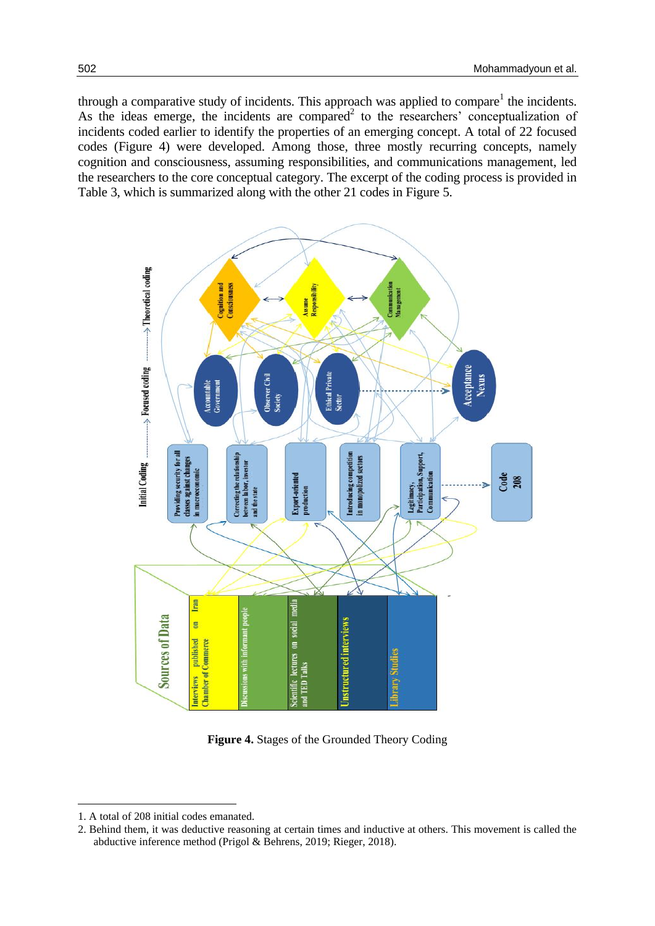through a comparative study of incidents. This approach was applied to compare<sup>1</sup> the incidents. As the ideas emerge, the incidents are compared<sup>2</sup> to the researchers' conceptualization of incidents coded earlier to identify the properties of an emerging concept. A total of 22 focused codes (Figure 4) were developed. Among those, three mostly recurring concepts, namely cognition and consciousness, assuming responsibilities, and communications management, led the researchers to the core conceptual category. The excerpt of the coding process is provided in Table 3, which is summarized along with the other 21 codes in Figure 5.



**Figure 4.** Stages of the Grounded Theory Coding

<sup>1.</sup> A total of 208 initial codes emanated.

<sup>2.</sup> Behind them, it was deductive reasoning at certain times and inductive at others. This movement is called the abductive inference method (Prigol & Behrens, 2019; Rieger, 2018).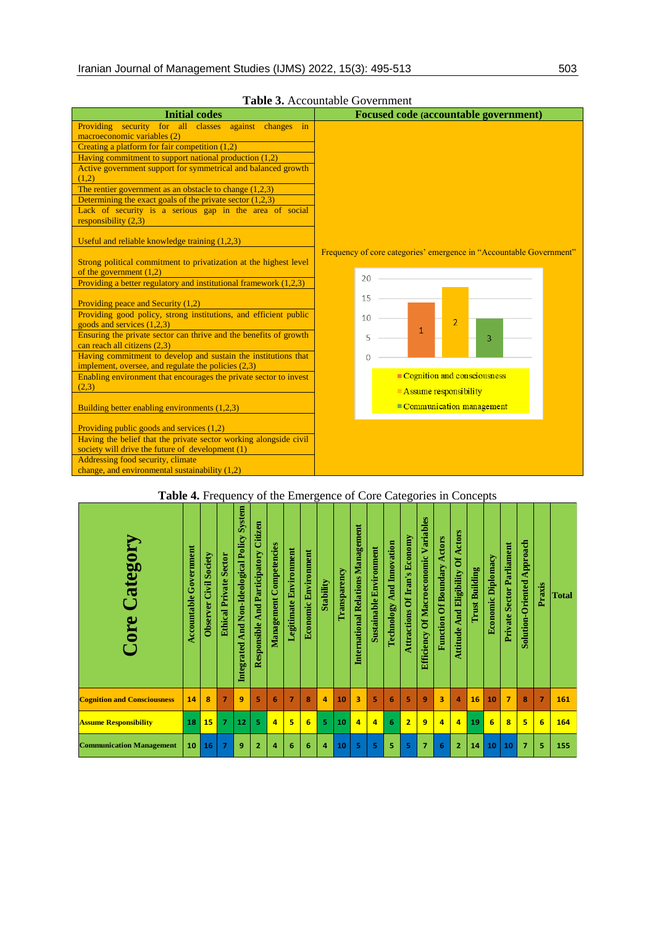| <b>Initial codes</b>                                                                                                    | Focused code (accountable government)                               |
|-------------------------------------------------------------------------------------------------------------------------|---------------------------------------------------------------------|
| Providing security for all classes against changes in                                                                   |                                                                     |
| macroeconomic variables (2)                                                                                             |                                                                     |
| Creating a platform for fair competition (1,2)                                                                          |                                                                     |
| Having commitment to support national production $(1,2)$                                                                |                                                                     |
| Active government support for symmetrical and balanced growth<br>(1,2)                                                  |                                                                     |
| The rentier government as an obstacle to change $(1,2,3)$                                                               |                                                                     |
| Determining the exact goals of the private sector $(1,2,3)$                                                             |                                                                     |
| Lack of security is a serious gap in the area of social<br>responsibility $(2,3)$                                       |                                                                     |
| Useful and reliable knowledge training (1,2,3)                                                                          |                                                                     |
| Strong political commitment to privatization at the highest level<br>of the government $(1,2)$                          | Frequency of core categories' emergence in "Accountable Government" |
| Providing a better regulatory and institutional framework $(1,2,3)$                                                     | 20                                                                  |
| Providing peace and Security (1,2)                                                                                      | 15                                                                  |
| Providing good policy, strong institutions, and efficient public<br>goods and services $(1,2,3)$                        | 10<br>$\overline{2}$                                                |
| Ensuring the private sector can thrive and the benefits of growth<br>can reach all citizens (2.3)                       | $\mathbf{1}$<br>5<br>3                                              |
| Having commitment to develop and sustain the institutions that<br>implement, oversee, and regulate the policies $(2,3)$ |                                                                     |
| Enabling environment that encourages the private sector to invest                                                       | Cognition and consciousness                                         |
| (2,3)                                                                                                                   | $\blacksquare$ Assume responsibility                                |
| Building better enabling environments (1,2,3)                                                                           | Communication management                                            |
| Providing public goods and services (1,2)                                                                               |                                                                     |
| Having the belief that the private sector working alongside civil                                                       |                                                                     |
| society will drive the future of development (1)                                                                        |                                                                     |
| Addressing food security, climate                                                                                       |                                                                     |
| change, and environmental sustainability $(1,2)$                                                                        |                                                                     |
|                                                                                                                         |                                                                     |

## **Table 3.** Accountable Government

# **Table 4.** Frequency of the Emergence of Core Categories in Concepts

| Category<br>Core                   | <b>Accountable Government</b> | <b>Observer Civil Society</b> | <b>Ethical Private Sector</b> | System<br>And Non-Ideological Policy<br>Integrated | Citizen<br><b>And Participatory</b><br>Responsible | <b>Management Competencies</b> | <b>Legitimate Environment</b> | <b>Economic Environment</b> | <b>Stability</b> | Transparency | Management<br><b>International Relations</b> | <b>Sustainable Environment</b> | Innovation<br>And.<br>Technology | Of Iran's Economy<br><b>Attractions</b> | Variables<br><b>Efficiency Of Macroeconomic</b> | Actors<br><b>Function Of Boundary</b> | <b>Actors</b><br>ð<br>Eligibility<br>And<br>Attitude | <b>Trust Building</b> | Economic Diplomacy | <b>Sector Parliament</b><br>Private | Approach<br>Oriented<br>Solution- | Praxis         | <b>Total</b> |
|------------------------------------|-------------------------------|-------------------------------|-------------------------------|----------------------------------------------------|----------------------------------------------------|--------------------------------|-------------------------------|-----------------------------|------------------|--------------|----------------------------------------------|--------------------------------|----------------------------------|-----------------------------------------|-------------------------------------------------|---------------------------------------|------------------------------------------------------|-----------------------|--------------------|-------------------------------------|-----------------------------------|----------------|--------------|
| <b>Cognition and Consciousness</b> | 14                            | 8                             | $\overline{ }$                | 9                                                  | 5                                                  | 6                              | $\overline{7}$                | 8                           | $\overline{a}$   | 10           | 3                                            | 5                              | 6                                | 5                                       | 9                                               | $\overline{\mathbf{3}}$               | 4                                                    | 16                    | 10                 | $\overline{7}$                      | 8                                 | $\overline{7}$ | 161          |
| <b>Assume Responsibility</b>       | 18                            | 15                            | $\overline{7}$                | 12                                                 | 5                                                  | $\overline{a}$                 | 5                             | 6                           | 5                | 10           | 4                                            | $\overline{a}$                 | 6                                | $\overline{2}$                          | 9                                               | 4                                     | 4                                                    | 19                    | 6                  | 8                                   | 5                                 | 6              | 164          |
| <b>Communication Management</b>    | 10                            | 16                            | 7                             | 9                                                  | $\overline{2}$                                     | $\Delta$                       | 6                             | 6                           | 4                | 10           | 5                                            | 5                              | 5                                | 5                                       | 7                                               | 6                                     | $\overline{2}$                                       | 14                    | 10                 | 10                                  | 7                                 | 5              | 155          |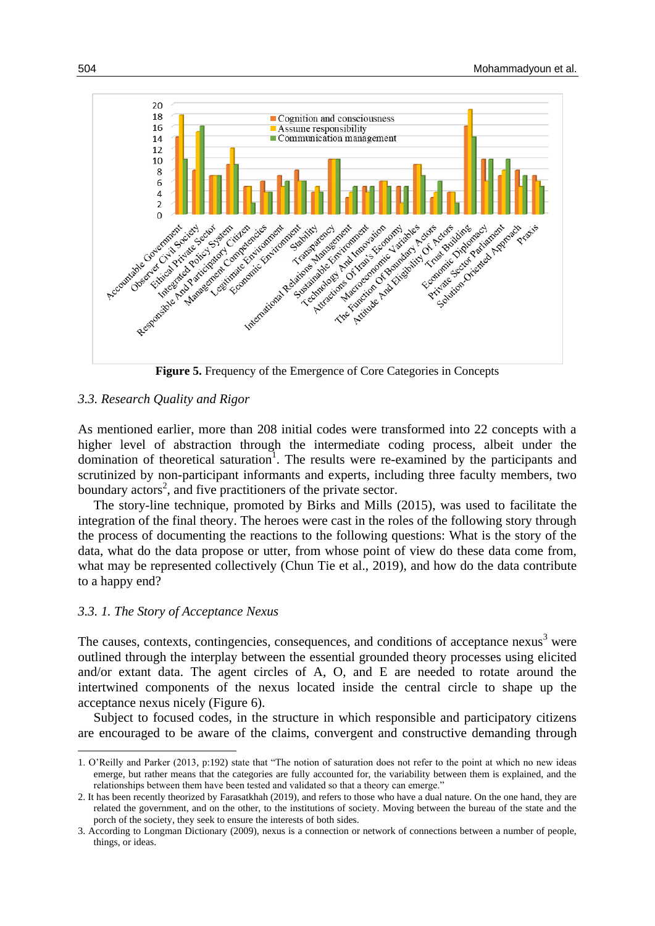

**Figure 5.** Frequency of the Emergence of Core Categories in Concepts

## *3.3. Research Quality and Rigor*

As mentioned earlier, more than 208 initial codes were transformed into 22 concepts with a higher level of abstraction through the intermediate coding process, albeit under the domination of theoretical saturation<sup>1</sup>. The results were re-examined by the participants and scrutinized by non-participant informants and experts, including three faculty members, two boundary actors<sup>2</sup>, and five practitioners of the private sector.

The story-line technique, promoted by Birks and Mills (2015), was used to facilitate the integration of the final theory. The heroes were cast in the roles of the following story through the process of documenting the reactions to the following questions: What is the story of the data, what do the data propose or utter, from whose point of view do these data come from, what may be represented collectively (Chun Tie et al., 2019), and how do the data contribute to a happy end?

#### *3.3. 1. The Story of Acceptance Nexus*

**.** 

The causes, contexts, contingencies, consequences, and conditions of acceptance nexus $3$  were outlined through the interplay between the essential grounded theory processes using elicited and/or extant data. The agent circles of A, O, and E are needed to rotate around the intertwined components of the nexus located inside the central circle to shape up the acceptance nexus nicely (Figure 6).

Subject to focused codes, in the structure in which responsible and participatory citizens are encouraged to be aware of the claims, convergent and constructive demanding through

<sup>1.</sup> O'Reilly and Parker (2013, p:192) state that "The notion of saturation does not refer to the point at which no new ideas emerge, but rather means that the categories are fully accounted for, the variability between them is explained, and the relationships between them have been tested and validated so that a theory can emerge."

<sup>2.</sup> It has been recently theorized by Farasatkhah (2019), and refers to those who have a dual nature. On the one hand, they are related the government, and on the other, to the institutions of society. Moving between the bureau of the state and the porch of the society, they seek to ensure the interests of both sides.

<sup>3.</sup> According to Longman Dictionary (2009), nexus is a connection or network of connections between a number of people, things, or ideas.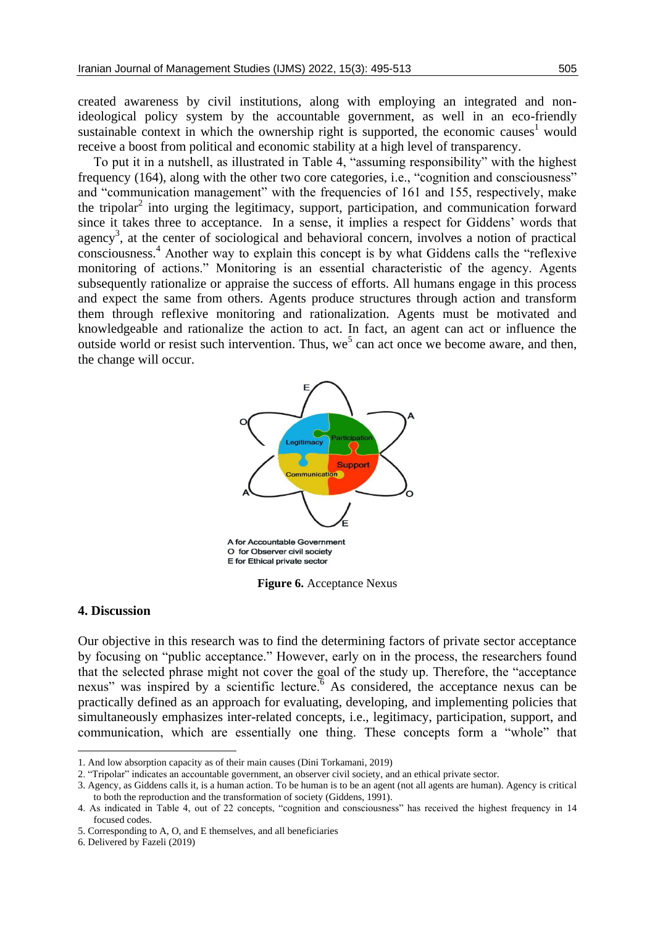created awareness by civil institutions, along with employing an integrated and nonideological policy system by the accountable government, as well in an eco-friendly sustainable context in which the ownership right is supported, the economic causes<sup>1</sup> would receive a boost from political and economic stability at a high level of transparency.

To put it in a nutshell, as illustrated in Table 4, "assuming responsibility" with the highest frequency (164), along with the other two core categories, i.e., "cognition and consciousness" and "communication management" with the frequencies of 161 and 155, respectively, make the tripolar<sup>2</sup> into urging the legitimacy, support, participation, and communication forward since it takes three to acceptance. In a sense, it implies a respect for Giddens' words that agency<sup>3</sup>, at the center of sociological and behavioral concern, involves a notion of practical consciousness.<sup>4</sup> Another way to explain this concept is by what Giddens calls the "reflexive monitoring of actions." Monitoring is an essential characteristic of the agency. Agents subsequently rationalize or appraise the success of efforts. All humans engage in this process and expect the same from others. Agents produce structures through action and transform them through reflexive monitoring and rationalization. Agents must be motivated and knowledgeable and rationalize the action to act. In fact, an agent can act or influence the outside world or resist such intervention. Thus,  $we^5$  can act once we become aware, and then, the change will occur.



**Figure 6.** Acceptance Nexus

### **4. Discussion**

**.** 

Our objective in this research was to find the determining factors of private sector acceptance by focusing on "public acceptance." However, early on in the process, the researchers found that the selected phrase might not cover the goal of the study up. Therefore, the "acceptance nexus" was inspired by a scientific lecture.<sup>6</sup> As considered, the acceptance nexus can be practically defined as an approach for evaluating, developing, and implementing policies that simultaneously emphasizes inter-related concepts, i.e., legitimacy, participation, support, and communication, which are essentially one thing. These concepts form a "whole" that

<sup>1.</sup> And low absorption capacity as of their main causes (Dini Torkamani, 2019)

<sup>2. &</sup>quot;Tripolar" indicates an accountable government, an observer civil society, and an ethical private sector.

<sup>3.</sup> Agency, as Giddens calls it, is a human action. To be human is to be an agent (not all agents are human). Agency is critical to both the reproduction and the transformation of society (Giddens, 1991).

<sup>4.</sup> As indicated in Table 4, out of 22 concepts, "cognition and consciousness" has received the highest frequency in 14 focused codes.

<sup>5.</sup> Corresponding to A, O, and E themselves, and all beneficiaries

<sup>6.</sup> Delivered by Fazeli (2019)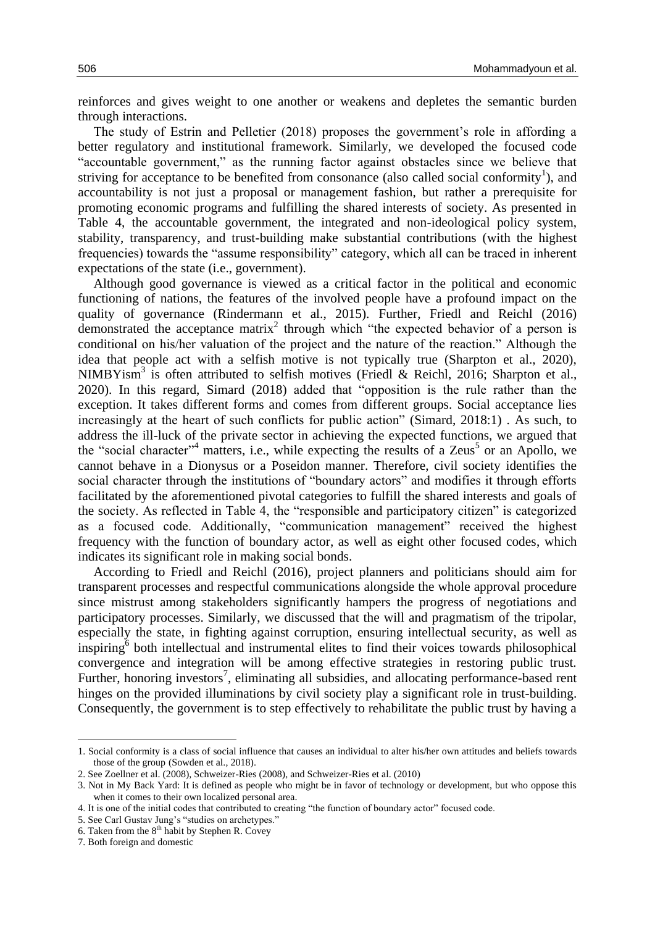reinforces and gives weight to one another or weakens and depletes the semantic burden through interactions.

The study of Estrin and Pelletier (2018) proposes the government's role in affording a better regulatory and institutional framework. Similarly, we developed the focused code "accountable government," as the running factor against obstacles since we believe that striving for acceptance to be benefited from consonance (also called social conformity<sup>1</sup>), and accountability is not just a proposal or management fashion, but rather a prerequisite for promoting economic programs and fulfilling the shared interests of society. As presented in Table 4, the accountable government, the integrated and non-ideological policy system, stability, transparency, and trust-building make substantial contributions (with the highest frequencies) towards the "assume responsibility" category, which all can be traced in inherent expectations of the state (i.e., government).

Although good governance is viewed as a critical factor in the political and economic functioning of nations, the features of the involved people have a profound impact on the quality of governance (Rindermann et al., 2015). Further, Friedl and Reichl (2016) demonstrated the acceptance matrix<sup>2</sup> through which "the expected behavior of a person is conditional on his/her valuation of the project and the nature of the reaction." Although the idea that people act with a selfish motive is not typically true (Sharpton et al., 2020), NIMBYism<sup>3</sup> is often attributed to selfish motives (Friedl & Reichl, 2016; Sharpton et al., 2020). In this regard, Simard (2018) added that "opposition is the rule rather than the exception. It takes different forms and comes from different groups. Social acceptance lies increasingly at the heart of such conflicts for public action" (Simard, 2018:1) . As such, to address the ill-luck of the private sector in achieving the expected functions, we argued that the "social character"<sup>4</sup> matters, i.e., while expecting the results of a Zeus<sup>5</sup> or an Apollo, we cannot behave in a Dionysus or a Poseidon manner. Therefore, civil society identifies the social character through the institutions of "boundary actors" and modifies it through efforts facilitated by the aforementioned pivotal categories to fulfill the shared interests and goals of the society. As reflected in Table 4, the "responsible and participatory citizen" is categorized as a focused code. Additionally, "communication management" received the highest frequency with the function of boundary actor, as well as eight other focused codes, which indicates its significant role in making social bonds.

According to Friedl and Reichl (2016), project planners and politicians should aim for transparent processes and respectful communications alongside the whole approval procedure since mistrust among stakeholders significantly hampers the progress of negotiations and participatory processes. Similarly, we discussed that the will and pragmatism of the tripolar, especially the state, in fighting against corruption, ensuring intellectual security, as well as inspiring<sup>6</sup> both intellectual and instrumental elites to find their voices towards philosophical convergence and integration will be among effective strategies in restoring public trust. Further, honoring investors<sup>7</sup>, eliminating all subsidies, and allocating performance-based rent hinges on the provided illuminations by civil society play a significant role in trust-building. Consequently, the government is to step effectively to rehabilitate the public trust by having a

1

<sup>1.</sup> Social conformity is a class of social influence that causes an individual to alter his/her own attitudes and beliefs towards those of the group (Sowden et al., 2018).

<sup>2.</sup> See Zoellner et al. (2008), Schweizer-Ries (2008), and Schweizer-Ries et al. (2010)

<sup>3.</sup> Not in My Back Yard: It is defined as people who might be in favor of technology or development, but who oppose this when it comes to their own localized personal area.

<sup>4.</sup> It is one of the initial codes that contributed to creating "the function of boundary actor" focused code.

<sup>5.</sup> See Carl Gustav Jung's "studies on archetypes."

<sup>6.</sup> Taken from the  $8<sup>th</sup>$  habit by Stephen R. Covey

<sup>7.</sup> Both foreign and domestic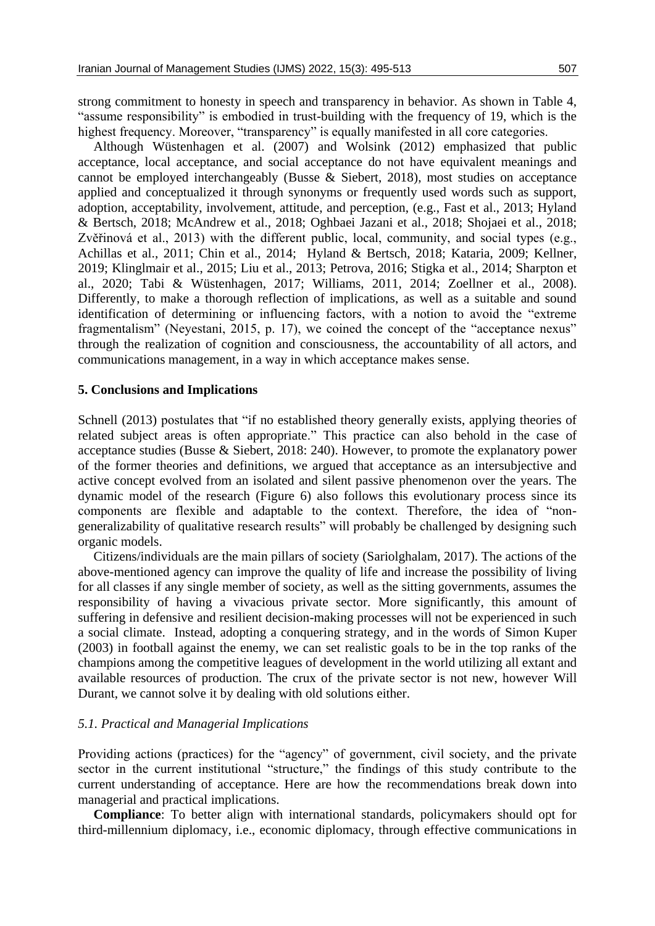strong commitment to honesty in speech and transparency in behavior. As shown in Table 4, "assume responsibility" is embodied in trust-building with the frequency of 19, which is the highest frequency. Moreover, "transparency" is equally manifested in all core categories.

Although Wüstenhagen et al. (2007) and Wolsink (2012) emphasized that public acceptance, local acceptance, and social acceptance do not have equivalent meanings and cannot be employed interchangeably (Busse & Siebert, 2018), most studies on acceptance applied and conceptualized it through synonyms or frequently used words such as support, adoption, acceptability, involvement, attitude, and perception, (e.g., Fast et al., 2013; Hyland & Bertsch, 2018; McAndrew et al., 2018; Oghbaei Jazani et al., 2018; Shojaei et al., 2018; Zvěřinová et al., 2013) with the different public, local, community, and social types (e.g., Achillas et al., 2011; Chin et al., 2014; Hyland & Bertsch, 2018; Kataria, 2009; Kellner, 2019; Klinglmair et al., 2015; Liu et al., 2013; Petrova, 2016; Stigka et al., 2014; Sharpton et al., 2020; Tabi & Wüstenhagen, 2017; Williams, 2011, 2014; Zoellner et al., 2008). Differently, to make a thorough reflection of implications, as well as a suitable and sound identification of determining or influencing factors, with a notion to avoid the "extreme fragmentalism" (Neyestani, 2015, p. 17), we coined the concept of the "acceptance nexus" through the realization of cognition and consciousness, the accountability of all actors, and communications management, in a way in which acceptance makes sense.

#### **5. Conclusions and Implications**

Schnell (2013) postulates that "if no established theory generally exists, applying theories of related subject areas is often appropriate." This practice can also behold in the case of acceptance studies (Busse & Siebert, 2018: 240). However, to promote the explanatory power of the former theories and definitions, we argued that acceptance as an intersubjective and active concept evolved from an isolated and silent passive phenomenon over the years. The dynamic model of the research (Figure 6) also follows this evolutionary process since its components are flexible and adaptable to the context. Therefore, the idea of "nongeneralizability of qualitative research results" will probably be challenged by designing such organic models.

Citizens/individuals are the main pillars of society (Sariolghalam, 2017). The actions of the above-mentioned agency can improve the quality of life and increase the possibility of living for all classes if any single member of society, as well as the sitting governments, assumes the responsibility of having a vivacious private sector. More significantly, this amount of suffering in defensive and resilient decision-making processes will not be experienced in such a social climate. Instead, adopting a conquering strategy, and in the words of Simon Kuper (2003) in football against the enemy, we can set realistic goals to be in the top ranks of the champions among the competitive leagues of development in the world utilizing all extant and available resources of production. The crux of the private sector is not new, however Will Durant, we cannot solve it by dealing with old solutions either.

### *5.1. Practical and Managerial Implications*

Providing actions (practices) for the "agency" of government, civil society, and the private sector in the current institutional "structure," the findings of this study contribute to the current understanding of acceptance. Here are how the recommendations break down into managerial and practical implications.

**Compliance**: To better align with international standards, policymakers should opt for third-millennium diplomacy, i.e., economic diplomacy, through effective communications in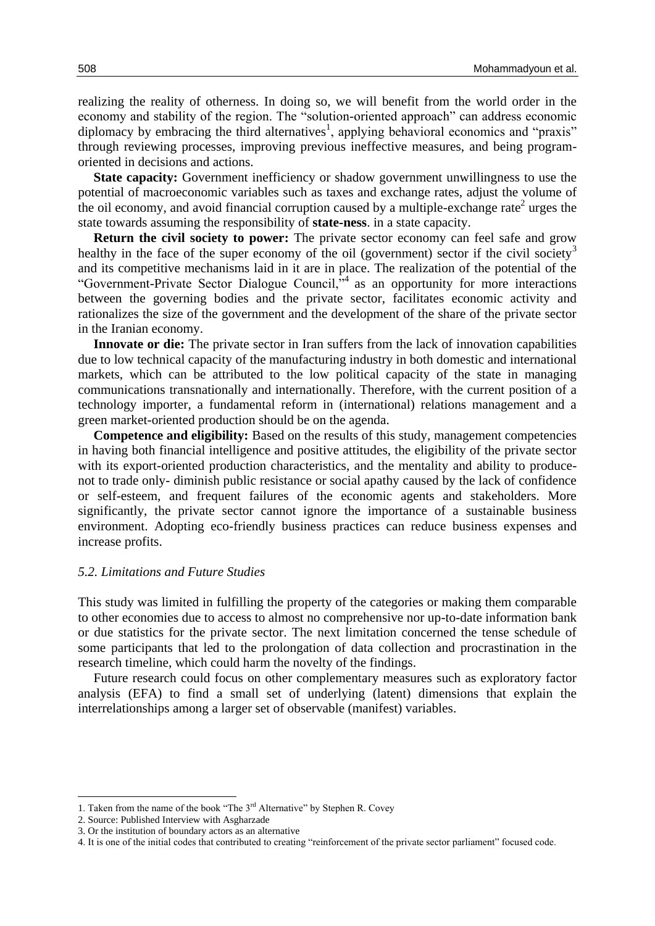realizing the reality of otherness. In doing so, we will benefit from the world order in the economy and stability of the region. The "solution-oriented approach" can address economic diplomacy by embracing the third alternatives<sup>1</sup>, applying behavioral economics and "praxis" through reviewing processes, improving previous ineffective measures, and being programoriented in decisions and actions.

**State capacity:** Government inefficiency or shadow government unwillingness to use the potential of macroeconomic variables such as taxes and exchange rates, adjust the volume of the oil economy, and avoid financial corruption caused by a multiple-exchange rate<sup>2</sup> urges the state towards assuming the responsibility of **state-ness**. in a state capacity.

**Return the civil society to power:** The private sector economy can feel safe and grow healthy in the face of the super economy of the oil (government) sector if the civil society<sup>3</sup> and its competitive mechanisms laid in it are in place. The realization of the potential of the "Government-Private Sector Dialogue Council,<sup>54</sup> as an opportunity for more interactions between the governing bodies and the private sector, facilitates economic activity and rationalizes the size of the government and the development of the share of the private sector in the Iranian economy.

**Innovate or die:** The private sector in Iran suffers from the lack of innovation capabilities due to low technical capacity of the manufacturing industry in both domestic and international markets, which can be attributed to the low political capacity of the state in managing communications transnationally and internationally. Therefore, with the current position of a technology importer, a fundamental reform in (international) relations management and a green market-oriented production should be on the agenda.

**Competence and eligibility:** Based on the results of this study, management competencies in having both financial intelligence and positive attitudes, the eligibility of the private sector with its export-oriented production characteristics, and the mentality and ability to producenot to trade only- diminish public resistance or social apathy caused by the lack of confidence or self-esteem, and frequent failures of the economic agents and stakeholders. More significantly, the private sector cannot ignore the importance of a sustainable business environment. Adopting eco-friendly business practices can reduce business expenses and increase profits.

#### *5.2. Limitations and Future Studies*

This study was limited in fulfilling the property of the categories or making them comparable to other economies due to access to almost no comprehensive nor up-to-date information bank or due statistics for the private sector. The next limitation concerned the tense schedule of some participants that led to the prolongation of data collection and procrastination in the research timeline, which could harm the novelty of the findings.

Future research could focus on other complementary measures such as exploratory factor analysis (EFA) to find a small set of underlying (latent) dimensions that explain the interrelationships among a larger set of observable (manifest) variables.

1

<sup>1.</sup> Taken from the name of the book "The  $3<sup>rd</sup>$  Alternative" by Stephen R. Covey

<sup>2.</sup> Source: Published Interview with Asgharzade

<sup>3.</sup> Or the institution of boundary actors as an alternative

<sup>4.</sup> It is one of the initial codes that contributed to creating "reinforcement of the private sector parliament" focused code.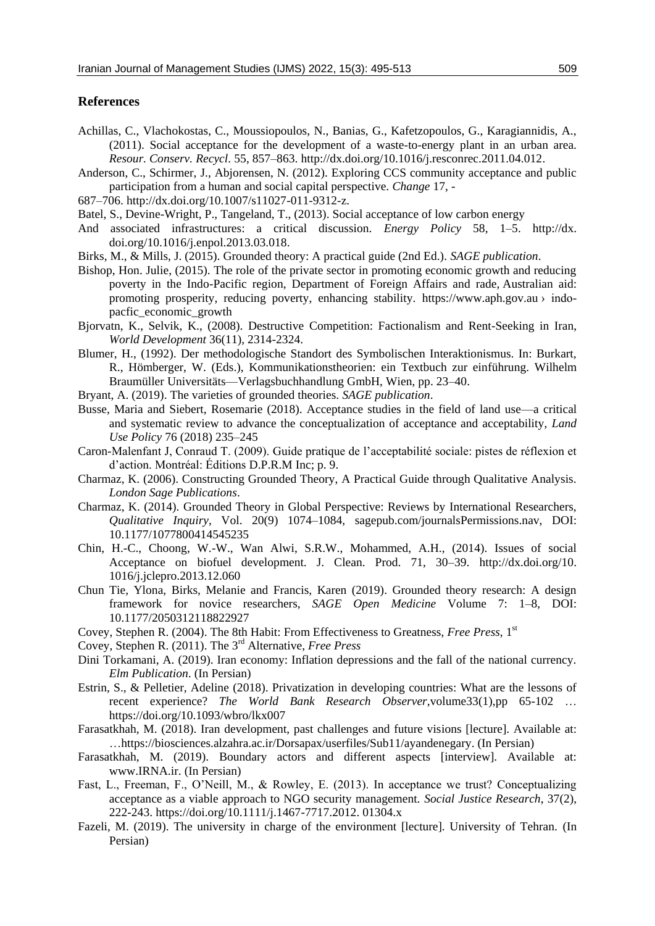#### **References**

- Achillas, C., Vlachokostas, C., Moussiopoulos, N., Banias, G., Kafetzopoulos, G., Karagiannidis, A., (2011). Social acceptance for the development of a waste-to-energy plant in an urban area. *Resour. Conserv. Recycl*. 55, 857–863. http://dx.doi.org/10.1016/j.resconrec.2011.04.012.
- Anderson, C., Schirmer, J., Abjorensen, N. (2012). Exploring CCS community acceptance and public participation from a human and social capital perspective. *Change* 17, -
- 687–706. http://dx.doi.org/10.1007/s11027-011-9312-z.
- Batel, S., Devine-Wright, P., Tangeland, T., (2013). Social acceptance of low carbon energy
- And associated infrastructures: a critical discussion. *Energy Policy* 58, 1–5. http://dx. doi.org/10.1016/j.enpol.2013.03.018.
- Birks, M., & Mills, J. (2015). Grounded theory: A practical guide (2nd Ed.). *SAGE publication*.
- Bishop, Hon. Julie, (2015). The role of the private sector in promoting economic growth and reducing poverty in the Indo-Pacific region, Department of Foreign Affairs and rade, Australian aid: promoting prosperity, reducing poverty, enhancing stability. https://www.aph.gov.au › indopacfic\_economic\_growth
- Bjorvatn, K., Selvik, K., (2008). Destructive Competition: Factionalism and Rent-Seeking in Iran, *World Development* 36(11), 2314-2324.
- Blumer, H., (1992). Der methodologische Standort des Symbolischen Interaktionismus. In: Burkart, R., Hömberger, W. (Eds.), Kommunikationstheorien: ein Textbuch zur einführung. Wilhelm Braumüller Universitäts—Verlagsbuchhandlung GmbH, Wien, pp. 23–40.
- Bryant, A. (2019). The varieties of grounded theories. *SAGE publication*.
- Busse, Maria and Siebert, Rosemarie (2018). Acceptance studies in the field of land use—a critical and systematic review to advance the conceptualization of acceptance and acceptability, *Land Use Policy* 76 (2018) 235–245
- Caron-Malenfant J, Conraud T. (2009). Guide pratique de l'acceptabilité sociale: pistes de réflexion et d'action. Montréal: Éditions D.P.R.M Inc; p. 9.
- Charmaz, K. (2006). Constructing Grounded Theory, A Practical Guide through Qualitative Analysis. *London Sage Publications*.
- Charmaz, K. (2014). Grounded Theory in Global Perspective: Reviews by International Researchers, *Qualitative Inquiry*, Vol. 20(9) 1074–1084, sagepub.com/journalsPermissions.nav, DOI: 10.1177/1077800414545235
- Chin, H.-C., Choong, W.-W., Wan Alwi, S.R.W., Mohammed, A.H., (2014). Issues of social Acceptance on biofuel development. J. Clean. Prod. 71, 30–39. http://dx.doi.org/10. 1016/j.jclepro.2013.12.060
- Chun Tie, Ylona, Birks, Melanie and Francis, Karen (2019). Grounded theory research: A design framework for novice researchers, *SAGE Open Medicine* Volume 7: 1–8, DOI: 10.1177/2050312118822927
- Covey, Stephen R. (2004). The 8th Habit: From Effectiveness to Greatness, *Free Press*, 1st
- Covey, Stephen R. (2011). The 3rd Alternative, *Free Press*
- Dini Torkamani, A. (2019). Iran economy: Inflation depressions and the fall of the national currency. *Elm Publication*. (In Persian)
- Estrin, S., & Pelletier, Adeline (2018). Privatization in developing countries: What are the lessons of recent experience? *The World Bank Research Observer*,volume33(1),pp 65-102 … https://doi.org/10.1093/wbro/lkx007
- Farasatkhah, M. (2018). Iran development, past challenges and future visions [lecture]. Available at: …https://biosciences.alzahra.ac.ir/Dorsapax/userfiles/Sub11/ayandenegary. (In Persian)
- Farasatkhah, M. (2019). Boundary actors and different aspects [interview]. Available at: www.IRNA.ir. (In Persian)
- Fast, L., Freeman, F., O'Neill, M., & Rowley, E. (2013). In acceptance we trust? Conceptualizing acceptance as a viable approach to NGO security management. *Social Justice Research*, 37(2), 222-243. https://doi.org/10.1111/j.1467-7717.2012. 01304.x
- Fazeli, M. (2019). The university in charge of the environment [lecture]. University of Tehran. (In Persian)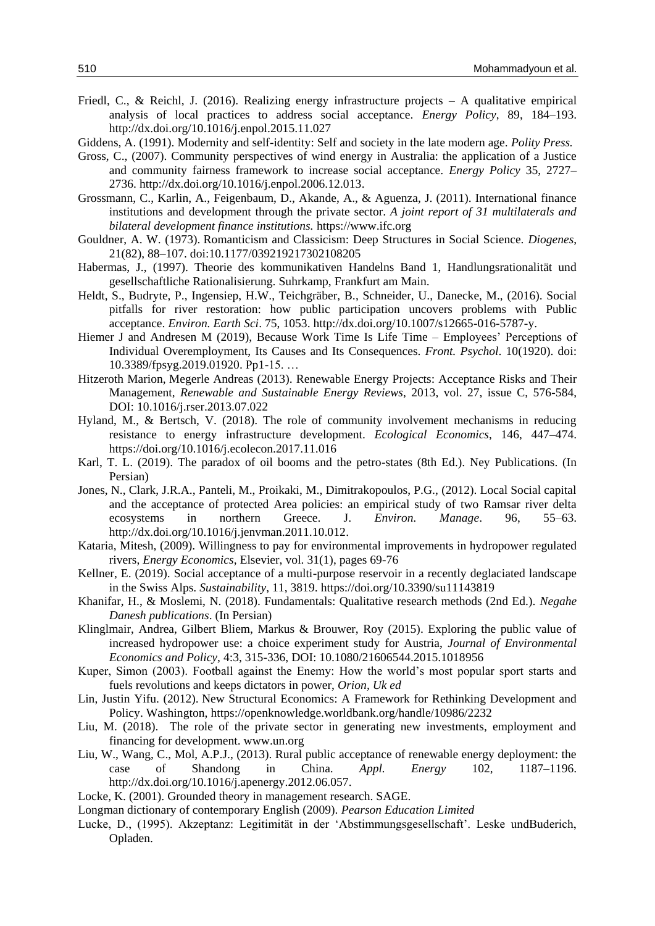- Friedl, C., & Reichl, J. (2016). Realizing energy infrastructure projects A qualitative empirical analysis of local practices to address social acceptance. *Energy Policy*, 89, 184–193. http://dx.doi.org/10.1016/j.enpol.2015.11.027
- Giddens, A. (1991). Modernity and self-identity: Self and society in the late modern age. *Polity Press.*
- Gross, C., (2007). Community perspectives of wind energy in Australia: the application of a Justice and community fairness framework to increase social acceptance. *Energy Policy* 35, 2727– 2736. http://dx.doi.org/10.1016/j.enpol.2006.12.013.
- Grossmann, C., Karlin, A., Feigenbaum, D., Akande, A., & Aguenza, J. (2011). International finance institutions and development through the private sector. *A joint report of 31 multilaterals and bilateral development finance institutions.* https://www.ifc.org
- Gouldner, A. W. (1973). Romanticism and Classicism: Deep Structures in Social Science. *Diogenes*, 21(82), 88–107. doi:10.1177/039219217302108205
- Habermas, J., (1997). Theorie des kommunikativen Handelns Band 1, Handlungsrationalität und gesellschaftliche Rationalisierung. Suhrkamp, Frankfurt am Main.
- Heldt, S., Budryte, P., Ingensiep, H.W., Teichgräber, B., Schneider, U., Danecke, M., (2016). Social pitfalls for river restoration: how public participation uncovers problems with Public acceptance. *Environ. Earth Sci*. 75, 1053. http://dx.doi.org/10.1007/s12665-016-5787-y.
- Hiemer J and Andresen M (2019), Because Work Time Is Life Time Employees' Perceptions of Individual Overemployment, Its Causes and Its Consequences. *Front. Psychol*. 10(1920). doi: 10.3389/fpsyg.2019.01920. Pp1-15. …
- Hitzeroth Marion, Megerle Andreas (2013). Renewable Energy Projects: Acceptance Risks and Their Management, *Renewable and Sustainable Energy Reviews*, 2013, vol. 27, issue C, 576-584, DOI: 10.1016/j.rser.2013.07.022
- Hyland, M., & Bertsch, V. (2018). The role of community involvement mechanisms in reducing resistance to energy infrastructure development. *Ecological Economics*, 146, 447–474. https://doi.org/10.1016/j.ecolecon.2017.11.016
- Karl, T. L. (2019). The paradox of oil booms and the petro-states (8th Ed.). Ney Publications. (In Persian)
- Jones, N., Clark, J.R.A., Panteli, M., Proikaki, M., Dimitrakopoulos, P.G., (2012). Local Social capital and the acceptance of protected Area policies: an empirical study of two Ramsar river delta ecosystems in northern Greece. J. *Environ. Manage*. 96, 55–63. http://dx.doi.org/10.1016/j.jenvman.2011.10.012.
- Kataria, Mitesh, (2009). Willingness to pay for environmental improvements in hydropower regulated rivers, *Energy Economics*, Elsevier, vol. 31(1), pages 69-76
- Kellner, E. (2019). Social acceptance of a multi-purpose reservoir in a recently deglaciated landscape in the Swiss Alps. *Sustainability*, 11, 3819. https://doi.org/10.3390/su11143819
- Khanifar, H., & Moslemi, N. (2018). Fundamentals: Qualitative research methods (2nd Ed.). *Negahe Danesh publications*. (In Persian)
- Klinglmair, Andrea, Gilbert Bliem, Markus & Brouwer, Roy (2015). Exploring the public value of increased hydropower use: a choice experiment study for Austria, *Journal of Environmental Economics and Policy*, 4:3, 315-336, DOI: 10.1080/21606544.2015.1018956
- Kuper, Simon (2003). Football against the Enemy: How the world's most popular sport starts and fuels revolutions and keeps dictators in power, *Orion, Uk ed*
- Lin, Justin Yifu. (2012). New Structural Economics: A Framework for Rethinking Development and Policy. Washington, https://openknowledge.worldbank.org/handle/10986/2232
- Liu, M. (2018). The role of the private sector in generating new investments, employment and financing for development. www.un.org
- Liu, W., Wang, C., Mol, A.P.J., (2013). Rural public acceptance of renewable energy deployment: the case of Shandong in China. *Appl. Energy* 102, 1187–1196. http://dx.doi.org/10.1016/j.apenergy.2012.06.057.
- Locke, K. (2001). Grounded theory in management research. SAGE.
- Longman dictionary of contemporary English (2009). *Pearson Education Limited*
- Lucke, D., (1995). Akzeptanz: Legitimität in der 'Abstimmungsgesellschaft'. Leske undBuderich, Opladen.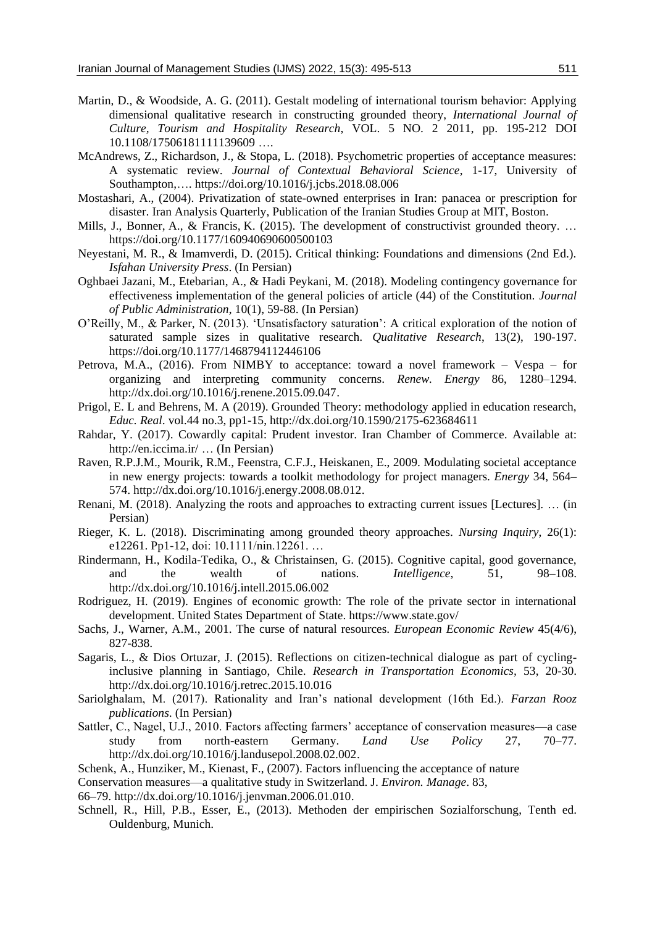- Martin, D., & Woodside, A. G. (2011). Gestalt modeling of international tourism behavior: Applying dimensional qualitative research in constructing grounded theory, *International Journal of Culture, Tourism and Hospitality Research*, VOL. 5 NO. 2 2011, pp. 195-212 DOI 10.1108/17506181111139609 ….
- McAndrews, Z., Richardson, J., & Stopa, L. (2018). Psychometric properties of acceptance measures: A systematic review*. Journal of Contextual Behavioral Science*, 1-17, University of Southampton,…. https://doi.org/10.1016/j.jcbs.2018.08.006
- Mostashari, A., (2004). Privatization of state-owned enterprises in Iran: panacea or prescription for disaster. Iran Analysis Quarterly, Publication of the Iranian Studies Group at MIT, Boston.
- Mills, J., Bonner, A., & Francis, K. (2015). The development of constructivist grounded theory. … https://doi.org/10.1177/160940690600500103
- Neyestani, M. R., & Imamverdi, D. (2015). Critical thinking: Foundations and dimensions (2nd Ed.). *Isfahan University Press*. (In Persian)
- Oghbaei Jazani, M., Etebarian, A., & Hadi Peykani, M. (2018). Modeling contingency governance for effectiveness implementation of the general policies of article (44) of the Constitution. *Journal of Public Administration*, 10(1), 59-88. (In Persian)
- O'Reilly, M., & Parker, N. (2013). 'Unsatisfactory saturation': A critical exploration of the notion of saturated sample sizes in qualitative research. *Qualitative Research*, 13(2), 190-197. https://doi.org/10.1177/1468794112446106
- Petrova, M.A., (2016). From NIMBY to acceptance: toward a novel framework Vespa for organizing and interpreting community concerns. *Renew. Energy* 86, 1280–1294. http://dx.doi.org/10.1016/j.renene.2015.09.047.
- Prigol, E. L and Behrens, M. A (2019). Grounded Theory: methodology applied in education research, *Educ. Real*. vol.44 no.3, pp1-15, http://dx.doi.org/10.1590/2175-623684611
- Rahdar, Y. (2017). Cowardly capital: Prudent investor. Iran Chamber of Commerce. Available at: http://en.iccima.ir/ … (In Persian)
- Raven, R.P.J.M., Mourik, R.M., Feenstra, C.F.J., Heiskanen, E., 2009. Modulating societal acceptance in new energy projects: towards a toolkit methodology for project managers. *Energy* 34, 564– 574. http://dx.doi.org/10.1016/j.energy.2008.08.012.
- Renani, M. (2018). Analyzing the roots and approaches to extracting current issues [Lectures]. … (in Persian)
- Rieger, K. L. (2018). Discriminating among grounded theory approaches. *Nursing Inquiry*, 26(1): e12261. Pp1-12, doi: 10.1111/nin.12261. …
- Rindermann, H., Kodila-Tedika, O., & Christainsen, G. (2015). Cognitive capital, good governance, and the wealth of nations. *Intelligence*, 51, 98–108. http://dx.doi.org/10.1016/j.intell.2015.06.002
- Rodriguez, H. (2019). Engines of economic growth: The role of the private sector in international development. United States Department of State. https://www.state.gov/
- Sachs, J., Warner, A.M., 2001. The curse of natural resources. *European Economic Review* 45(4/6), 827-838.
- Sagaris, L., & Dios Ortuzar, J. (2015). Reflections on citizen-technical dialogue as part of cyclinginclusive planning in Santiago, Chile. *Research in Transportation Economics,* 53, 20-30. http://dx.doi.org/10.1016/j.retrec.2015.10.016
- Sariolghalam, M. (2017). Rationality and Iran's national development (16th Ed.). *Farzan Rooz publications*. (In Persian)
- Sattler, C., Nagel, U.J., 2010. Factors affecting farmers' acceptance of conservation measures—a case study from north-eastern Germany. *Land Use Policy* 27, 70–77. http://dx.doi.org/10.1016/j.landusepol.2008.02.002.
- Schenk, A., Hunziker, M., Kienast, F., (2007). Factors influencing the acceptance of nature
- Conservation measures—a qualitative study in Switzerland. J. *Environ. Manage*. 83,
- 66–79. http://dx.doi.org/10.1016/j.jenvman.2006.01.010.
- Schnell, R., Hill, P.B., Esser, E., (2013). Methoden der empirischen Sozialforschung, Tenth ed. Ouldenburg, Munich.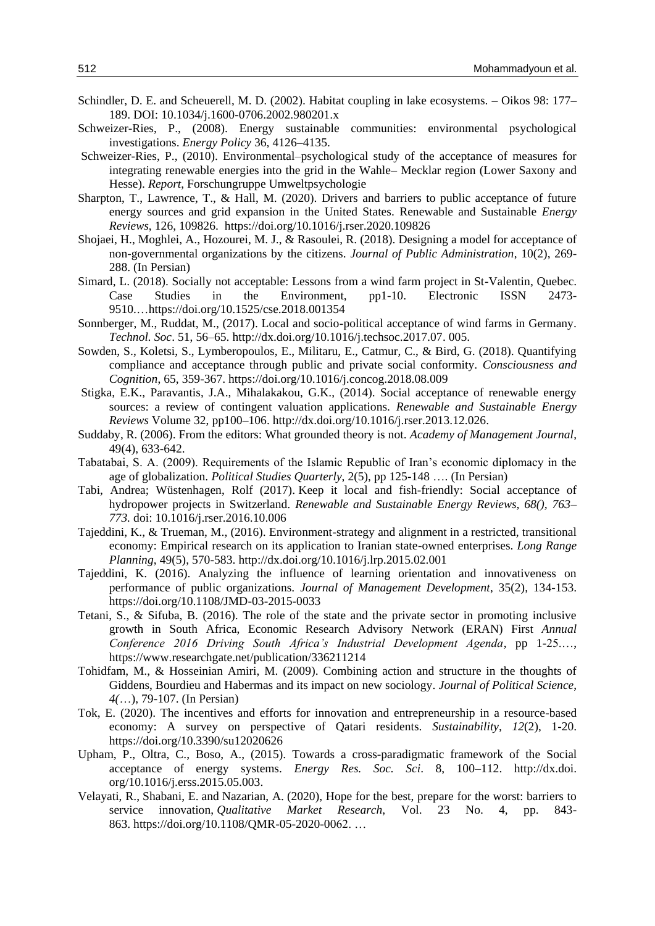- Schindler, D. E. and Scheuerell, M. D. (2002). Habitat coupling in lake ecosystems. Oikos 98: 177– 189. DOI: 10.1034/j.1600-0706.2002.980201.x
- Schweizer-Ries, P., (2008). Energy sustainable communities: environmental psychological investigations. *Energy Policy* 36, 4126–4135.
- Schweizer-Ries, P., (2010). Environmental–psychological study of the acceptance of measures for integrating renewable energies into the grid in the Wahle– Mecklar region (Lower Saxony and Hesse). *Report*, Forschungruppe Umweltpsychologie
- Sharpton, T., Lawrence, T., & Hall, M. (2020). Drivers and barriers to public acceptance of future energy sources and grid expansion in the United States. Renewable and Sustainable *Energy Reviews*, 126, 109826. https://doi.org/10.1016/j.rser.2020.109826
- Shojaei, H., Moghlei, A., Hozourei, M. J., & Rasoulei, R. (2018). Designing a model for acceptance of non-governmental organizations by the citizens. *Journal of Public Administration*, 10(2), 269- 288. (In Persian)
- Simard, L. (2018). Socially not acceptable: Lessons from a wind farm project in St-Valentin, Quebec. Case Studies in the Environment, pp1-10. Electronic ISSN 2473- 9510.…https://doi.org/10.1525/cse.2018.001354
- Sonnberger, M., Ruddat, M., (2017). Local and socio-political acceptance of wind farms in Germany. *Technol. Soc*. 51, 56–65. http://dx.doi.org/10.1016/j.techsoc.2017.07. 005.
- Sowden, S., Koletsi, S., Lymberopoulos, E., Militaru, E., Catmur, C., & Bird, G. (2018). Quantifying compliance and acceptance through public and private social conformity. *Consciousness and Cognition*, 65, 359-367. https://doi.org/10.1016/j.concog.2018.08.009
- Stigka, E.K., Paravantis, J.A., Mihalakakou, G.K., (2014). Social acceptance of renewable energy sources: a review of contingent valuation applications. *Renewable and Sustainable Energy Reviews* Volume 32, pp100–106. http://dx.doi.org/10.1016/j.rser.2013.12.026.
- Suddaby, R. (2006). From the editors: What grounded theory is not. *Academy of Management Journal*, 49(4), 633-642.
- Tabatabai, S. A. (2009). Requirements of the Islamic Republic of Iran's economic diplomacy in the age of globalization. *Political Studies Quarterly*, 2(5), pp 125-148 …. (In Persian)
- Tabi, Andrea; Wüstenhagen, Rolf (2017). Keep it local and fish-friendly: Social acceptance of hydropower projects in Switzerland*. Renewable and Sustainable Energy Reviews, 68(), 763– 773.* doi: 10.1016/j.rser.2016.10.006
- Tajeddini, K., & Trueman, M., (2016). Environment-strategy and alignment in a restricted, transitional economy: Empirical research on its application to Iranian state-owned enterprises. *Long Range Planning*, 49(5), 570-583. http://dx.doi.org/10.1016/j.lrp.2015.02.001
- Tajeddini, K. (2016). Analyzing the influence of learning orientation and innovativeness on performance of public organizations. *Journal of Management Development*, 35(2), 134-153. https://doi.org/10.1108/JMD-03-2015-0033
- Tetani, S., & Sifuba, B. (2016). The role of the state and the private sector in promoting inclusive growth in South Africa, Economic Research Advisory Network (ERAN) First *Annual Conference 2016 Driving South Africa's Industrial Development Agenda*, pp 1-25.…, https://www.researchgate.net/publication/336211214
- Tohidfam, M., & Hosseinian Amiri, M. (2009). Combining action and structure in the thoughts of Giddens, Bourdieu and Habermas and its impact on new sociology. *Journal of Political Science*, *4(*…), 79-107. (In Persian)
- Tok, E. (2020). The incentives and efforts for innovation and entrepreneurship in a resource-based economy: A survey on perspective of Qatari residents. *Sustainability, 12*(2), 1-20. https://doi.org/10.3390/su12020626
- Upham, P., Oltra, C., Boso, A., (2015). Towards a cross-paradigmatic framework of the Social acceptance of energy systems. *Energy Res. Soc. Sci*. 8, 100–112. http://dx.doi. org/10.1016/j.erss.2015.05.003.
- Velayati, R., Shabani, E. and Nazarian, A. (2020), Hope for the best, prepare for the worst: barriers to service innovation, *Qualitative Market Research*, Vol. 23 No. 4, pp. 843- 863. https://doi.org/10.1108/QMR-05-2020-0062. …